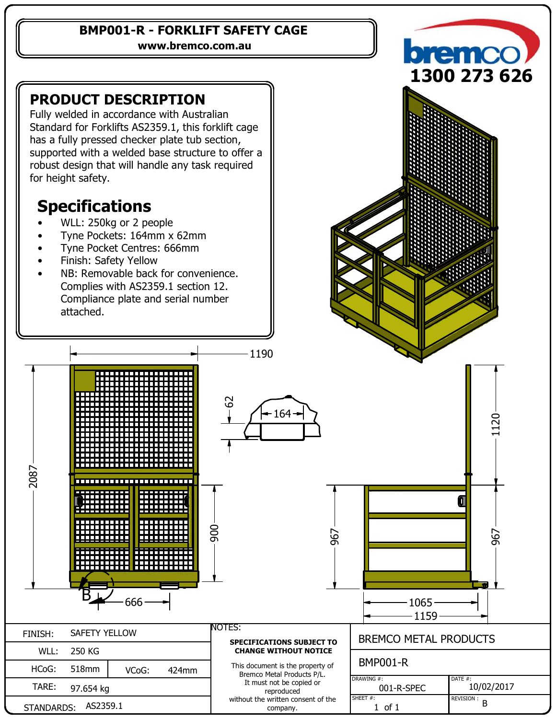#### **BMP001-R - FORKLIFT SAFETY CAGE**

**www.bremco.com.au**

### **PRODUCT DESCRIPTION**

Fully welded in accordance with Australian Standard for Forklifts AS2359.1, this forklift cage has a fully pressed checker plate tub section, supported with a welded base structure to offer a robust design that will handle any task required for height safety.

# **Specifications**

- WLL: 250kg or 2 people
- Tyne Pockets: 164mm x 62mm
- Tyne Pocket Centres: 666mm
- Finish: Safety Yellow

TARE:

STANDARDS:

97.654 kg

AS2359.1

 NB: Removable back for convenience. Complies with AS2359.1 section 12. Compliance plate and serial number attached.





1190

It must not be copied or reproduced without the written consent of the company. 001-R-SPEC | 10/02/2017  $\begin{bmatrix} 1 & 1 & 1 \end{bmatrix}$  REVISION :  $\begin{bmatrix} 1 & 1 \end{bmatrix}$  B DRAWING #: SHEET #: DATE #: